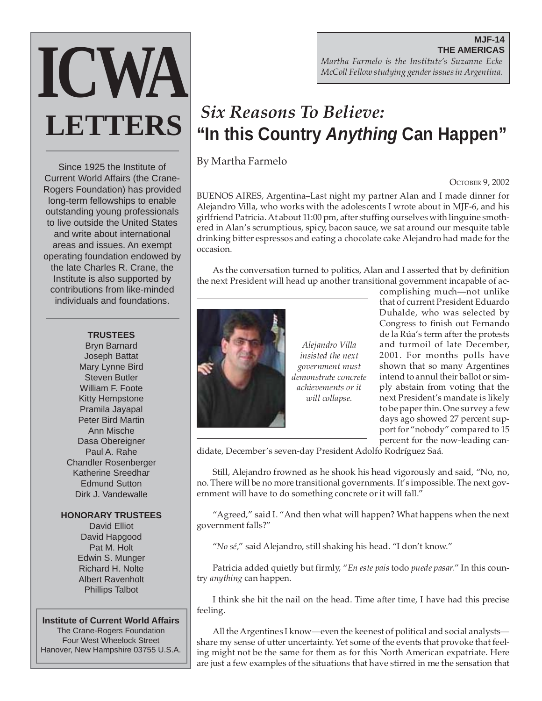# **MJF-14 THE AMERICAS** *Martha Farmelo is the Institute's Suzanne Ecke McColl Fellow studying gender issues in Argentina.*

# *Six Reasons To Believe:* **"In this Country Anything Can Happen"**

By Martha Farmelo

OCTOBER 9, 2002

BUENOS AIRES, Argentina–Last night my partner Alan and I made dinner for Alejandro Villa, who works with the adolescents I wrote about in MJF-6, and his girlfriend Patricia. At about 11:00 pm, after stuffing ourselves with linguine smothered in Alan's scrumptious, spicy, bacon sauce, we sat around our mesquite table drinking bitter espressos and eating a chocolate cake Alejandro had made for the occasion.

As the conversation turned to politics, Alan and I asserted that by definition the next President will head up another transitional government incapable of ac-



*Alejandro Villa insisted the next government must demonstrate concrete achievements or it will collapse.*

complishing much—not unlike that of current President Eduardo Duhalde, who was selected by Congress to finish out Fernando de la Rúa's term after the protests and turmoil of late December, 2001. For months polls have shown that so many Argentines intend to annul their ballot or simply abstain from voting that the next President's mandate is likely to be paper thin. One survey a few days ago showed 27 percent support for "nobody" compared to 15 percent for the now-leading can-

didate, December's seven-day President Adolfo Rodríguez Saá.

Still, Alejandro frowned as he shook his head vigorously and said, "No, no, no. There will be no more transitional governments. It's impossible. The next government will have to do something concrete or it will fall."

"Agreed," said I. "And then what will happen? What happens when the next government falls?"

"*No sé,*" said Alejandro, still shaking his head. "I don't know."

Patricia added quietly but firmly, "*En este pais* todo *puede pasar.*" In this country *anything* can happen.

I think she hit the nail on the head. Time after time, I have had this precise feeling.

All the Argentines I know—even the keenest of political and social analysts share my sense of utter uncertainty. Yet some of the events that provoke that feeling might not be the same for them as for this North American expatriate. Here are just a few examples of the situations that have stirred in me the sensation that

Since 1925 the Institute of Current World Affairs (the Crane-Rogers Foundation) has provided long-term fellowships to enable outstanding young professionals to live outside the United States and write about international areas and issues. An exempt operating foundation endowed by the late Charles R. Crane, the Institute is also supported by contributions from like-minded individuals and foundations.

**ICWA**

**LETTERS**

#### **TRUSTEES**

Bryn Barnard Joseph Battat Mary Lynne Bird Steven Butler William F. Foote Kitty Hempstone Pramila Jayapal Peter Bird Martin Ann Mische Dasa Obereigner Paul A. Rahe Chandler Rosenberger Katherine Sreedhar Edmund Sutton Dirk J. Vandewalle

# **HONORARY TRUSTEES**

David Elliot David Hapgood Pat M. Holt Edwin S. Munger Richard H. Nolte Albert Ravenholt Phillips Talbot

## **Institute of Current World Affairs**

The Crane-Rogers Foundation Four West Wheelock Street Hanover, New Hampshire 03755 U.S.A.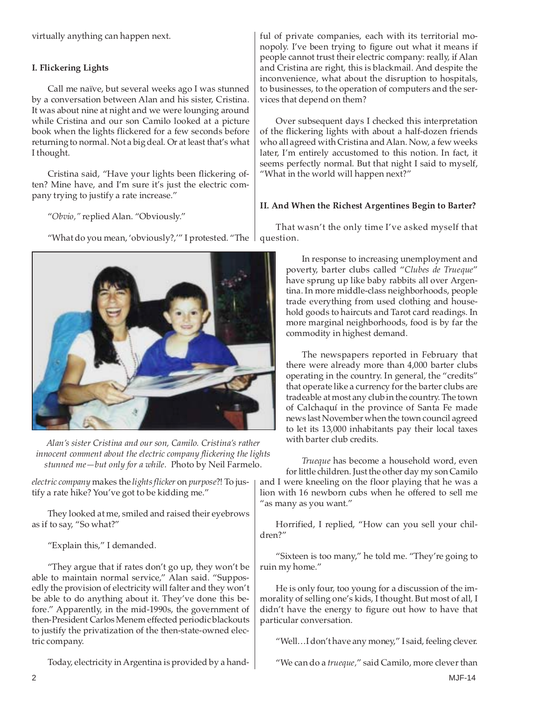virtually anything can happen next.

# **I. Flickering Lights**

Call me naïve, but several weeks ago I was stunned by a conversation between Alan and his sister, Cristina. It was about nine at night and we were lounging around while Cristina and our son Camilo looked at a picture book when the lights flickered for a few seconds before returning to normal. Not a big deal. Or at least that's what I thought.

Cristina said, "Have your lights been flickering often? Mine have, and I'm sure it's just the electric company trying to justify a rate increase."

"*Obvio,"* replied Alan. "Obviously."

"What do you mean, 'obviously?,'" I protested. "The



*Alan's sister Cristina and our son, Camilo. Cristina's rather innocent comment about the electric company flickering the lights stunned me—but only for a while.* Photo by Neil Farmelo.

*electric company* makes the *lights flicker* on *purpose*?! To justify a rate hike? You've got to be kidding me."

They looked at me, smiled and raised their eyebrows as if to say, "So what?"

"Explain this," I demanded.

"They argue that if rates don't go up, they won't be able to maintain normal service," Alan said. "Supposedly the provision of electricity will falter and they won't be able to do anything about it. They've done this before." Apparently, in the mid-1990s, the government of then-President Carlos Menem effected periodic blackouts to justify the privatization of the then-state-owned electric company.

ful of private companies, each with its territorial monopoly. I've been trying to figure out what it means if people cannot trust their electric company: really, if Alan and Cristina are right, this is blackmail. And despite the inconvenience, what about the disruption to hospitals, to businesses, to the operation of computers and the services that depend on them?

Over subsequent days I checked this interpretation of the flickering lights with about a half-dozen friends who all agreed with Cristina and Alan. Now, a few weeks later, I'm entirely accustomed to this notion. In fact, it seems perfectly normal. But that night I said to myself, "What in the world will happen next?"

### **II. And When the Richest Argentines Begin to Barter?**

That wasn't the only time I've asked myself that question.

> In response to increasing unemployment and poverty, barter clubs called "*Clubes de Trueque*" have sprung up like baby rabbits all over Argentina. In more middle-class neighborhoods, people trade everything from used clothing and household goods to haircuts and Tarot card readings. In more marginal neighborhoods, food is by far the commodity in highest demand.

> The newspapers reported in February that there were already more than 4,000 barter clubs operating in the country. In general, the "credits" that operate like a currency for the barter clubs are tradeable at most any club in the country. The town of Calchaquí in the province of Santa Fe made news last November when the town council agreed to let its 13,000 inhabitants pay their local taxes with barter club credits.

*Trueque* has become a household word, even for little children. Just the other day my son Camilo and I were kneeling on the floor playing that he was a lion with 16 newborn cubs when he offered to sell me "as many as you want."

Horrified, I replied, "How can you sell your children?"

"Sixteen is too many," he told me. "They're going to ruin my home."

He is only four, too young for a discussion of the immorality of selling one's kids, I thought. But most of all, I didn't have the energy to figure out how to have that particular conversation.

"Well…I don't have any money," I said, feeling clever.

Today, electricity in Argentina is provided by a hand-

"We can do a *trueque,*" said Camilo, more clever than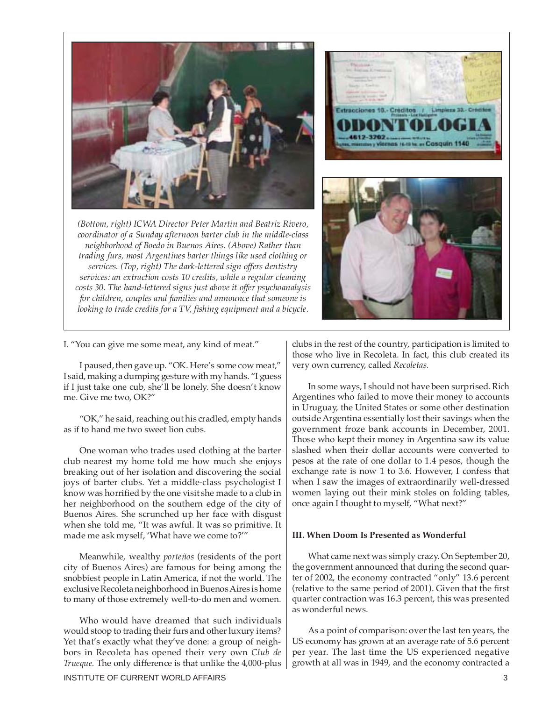

*(Bottom, right) ICWA Director Peter Martin and Beatriz Rivero, coordinator of a Sunday afternoon barter club in the middle-class neighborhood of Boedo in Buenos Aires. (Above) Rather than trading furs, most Argentines barter things like used clothing or services. (Top, right) The dark-lettered sign offers dentistry services: an extraction costs 10 credits, while a regular cleaning costs 30. The hand-lettered signs just above it offer psychoanalysis for children, couples and families and announce that someone is looking to trade credits for a TV, fishing equipment and a bicycle.*



I. "You can give me some meat, any kind of meat."

I paused, then gave up. "OK. Here's some cow meat," I said, making a dumping gesture with my hands. "I guess if I just take one cub, she'll be lonely. She doesn't know me. Give me two, OK?"

"OK," he said, reaching out his cradled, empty hands as if to hand me two sweet lion cubs.

One woman who trades used clothing at the barter club nearest my home told me how much she enjoys breaking out of her isolation and discovering the social joys of barter clubs. Yet a middle-class psychologist I know was horrified by the one visit she made to a club in her neighborhood on the southern edge of the city of Buenos Aires. She scrunched up her face with disgust when she told me, "It was awful. It was so primitive. It made me ask myself, 'What have we come to?'"

Meanwhile, wealthy *porteños* (residents of the port city of Buenos Aires) are famous for being among the snobbiest people in Latin America, if not the world. The exclusive Recoleta neighborhood in Buenos Aires is home to many of those extremely well-to-do men and women.

Who would have dreamed that such individuals would stoop to trading their furs and other luxury items? Yet that's exactly what they've done: a group of neighbors in Recoleta has opened their very own *Club de Trueque.* The only difference is that unlike the 4,000-plus

INSTITUTE OF CURRENT WORLD AFFAIRS 3

clubs in the rest of the country, participation is limited to those who live in Recoleta. In fact, this club created its very own currency, called *Recoletas.*

In some ways, I should not have been surprised. Rich Argentines who failed to move their money to accounts in Uruguay, the United States or some other destination outside Argentina essentially lost their savings when the government froze bank accounts in December, 2001. Those who kept their money in Argentina saw its value slashed when their dollar accounts were converted to pesos at the rate of one dollar to 1.4 pesos, though the exchange rate is now 1 to 3.6. However, I confess that when I saw the images of extraordinarily well-dressed women laying out their mink stoles on folding tables, once again I thought to myself, "What next?"

#### **III. When Doom Is Presented as Wonderful**

What came next was simply crazy. On September 20, the government announced that during the second quarter of 2002, the economy contracted "only" 13.6 percent (relative to the same period of 2001). Given that the first quarter contraction was 16.3 percent, this was presented as wonderful news.

As a point of comparison: over the last ten years, the US economy has grown at an average rate of 5.6 percent per year. The last time the US experienced negative growth at all was in 1949, and the economy contracted a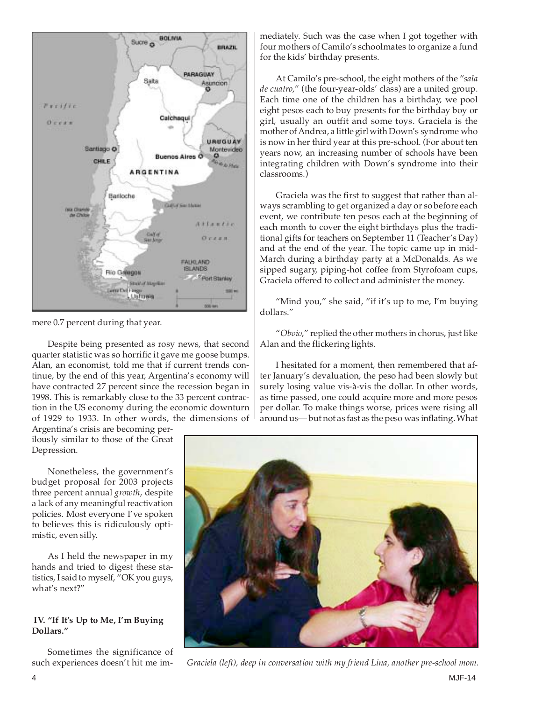

mere 0.7 percent during that year.

Despite being presented as rosy news, that second quarter statistic was so horrific it gave me goose bumps. Alan, an economist, told me that if current trends continue, by the end of this year, Argentina's economy will have contracted 27 percent since the recession began in 1998. This is remarkably close to the 33 percent contraction in the US economy during the economic downturn of 1929 to 1933. In other words, the dimensions of

Argentina's crisis are becoming perilously similar to those of the Great Depression.

Nonetheless, the government's budget proposal for 2003 projects three percent annual *growth*, despite a lack of any meaningful reactivation policies. Most everyone I've spoken to believes this is ridiculously optimistic, even silly.

As I held the newspaper in my hands and tried to digest these statistics, I said to myself, "OK you guys, what's next?"

#### **IV. "If It's Up to Me, I'm Buying Dollars."**

Sometimes the significance of such experiences doesn't hit me immediately. Such was the case when I got together with four mothers of Camilo's schoolmates to organize a fund for the kids' birthday presents.

At Camilo's pre-school, the eight mothers of the "*sala de cuatro*," (the four-year-olds' class) are a united group. Each time one of the children has a birthday, we pool eight pesos each to buy presents for the birthday boy or girl, usually an outfit and some toys. Graciela is the mother of Andrea, a little girl with Down's syndrome who is now in her third year at this pre-school. (For about ten years now, an increasing number of schools have been integrating children with Down's syndrome into their classrooms.)

Graciela was the first to suggest that rather than always scrambling to get organized a day or so before each event, we contribute ten pesos each at the beginning of each month to cover the eight birthdays plus the traditional gifts for teachers on September 11 (Teacher's Day) and at the end of the year. The topic came up in mid-March during a birthday party at a McDonalds. As we sipped sugary, piping-hot coffee from Styrofoam cups, Graciela offered to collect and administer the money.

"Mind you," she said, "if it's up to me, I'm buying dollars."

"*Obvio*," replied the other mothers in chorus, just like Alan and the flickering lights.

I hesitated for a moment, then remembered that after January's devaluation, the peso had been slowly but surely losing value vis-à-vis the dollar. In other words, as time passed, one could acquire more and more pesos per dollar. To make things worse, prices were rising all around us— but not as fast as the peso was inflating. What



*Graciela (left), deep in conversation with my friend Lina, another pre-school mom.*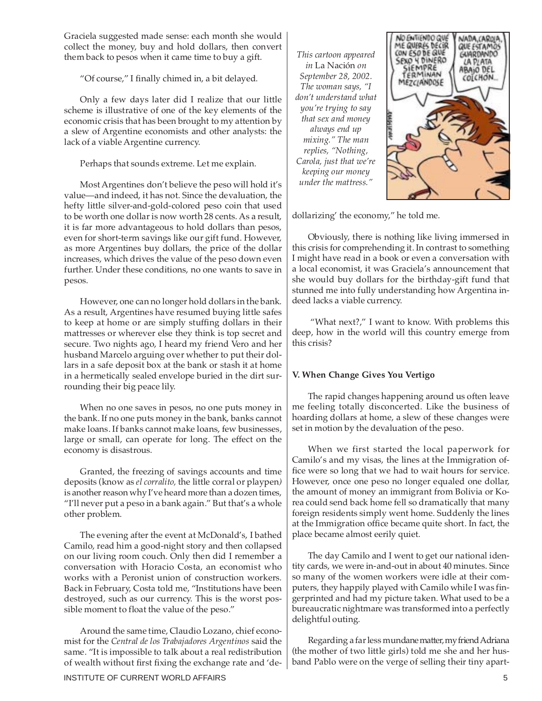Graciela suggested made sense: each month she would collect the money, buy and hold dollars, then convert them back to pesos when it came time to buy a gift.

"Of course," I finally chimed in, a bit delayed.

Only a few days later did I realize that our little scheme is illustrative of one of the key elements of the economic crisis that has been brought to my attention by a slew of Argentine economists and other analysts: the lack of a viable Argentine currency.

Perhaps that sounds extreme. Let me explain.

Most Argentines don't believe the peso will hold it's value—and indeed, it has not. Since the devaluation, the hefty little silver-and-gold-colored peso coin that used to be worth one dollar is now worth 28 cents. As a result, it is far more advantageous to hold dollars than pesos, even for short-term savings like our gift fund. However, as more Argentines buy dollars, the price of the dollar increases, which drives the value of the peso down even further. Under these conditions, no one wants to save in pesos.

However, one can no longer hold dollars in the bank. As a result, Argentines have resumed buying little safes to keep at home or are simply stuffing dollars in their mattresses or wherever else they think is top secret and secure. Two nights ago, I heard my friend Vero and her husband Marcelo arguing over whether to put their dollars in a safe deposit box at the bank or stash it at home in a hermetically sealed envelope buried in the dirt surrounding their big peace lily.

When no one saves in pesos, no one puts money in the bank. If no one puts money in the bank, banks cannot make loans. If banks cannot make loans, few businesses, large or small, can operate for long. The effect on the economy is disastrous.

Granted, the freezing of savings accounts and time deposits (know as *el corralito,* the little corral or playpen*)* is another reason why I've heard more than a dozen times, "I'll never put a peso in a bank again." But that's a whole other problem.

The evening after the event at McDonald's, I bathed Camilo, read him a good-night story and then collapsed on our living room couch. Only then did I remember a conversation with Horacio Costa, an economist who works with a Peronist union of construction workers. Back in February, Costa told me, "Institutions have been destroyed, such as our currency. This is the worst possible moment to float the value of the peso."

Around the same time, Claudio Lozano, chief economist for the *Central de los Trabajadores Argentinos* said the same. "It is impossible to talk about a real redistribution of wealth without first fixing the exchange rate and 'de-

*This cartoon appeared in* La Nación *on September 28, 2002. The woman says, "I don't understand what you're trying to say that sex and money always end up mixing." The man replies, "Nothing, Carola, just that we're keeping our money under the mattress."*



dollarizing' the economy," he told me.

Obviously, there is nothing like living immersed in this crisis for comprehending it. In contrast to something I might have read in a book or even a conversation with a local economist, it was Graciela's announcement that she would buy dollars for the birthday-gift fund that stunned me into fully understanding how Argentina indeed lacks a viable currency.

"What next?," I want to know. With problems this deep, how in the world will this country emerge from this crisis?

# **V. When Change Gives You Vertigo**

The rapid changes happening around us often leave me feeling totally disconcerted. Like the business of hoarding dollars at home, a slew of these changes were set in motion by the devaluation of the peso.

When we first started the local paperwork for Camilo's and my visas, the lines at the Immigration office were so long that we had to wait hours for service. However, once one peso no longer equaled one dollar, the amount of money an immigrant from Bolivia or Korea could send back home fell so dramatically that many foreign residents simply went home. Suddenly the lines at the Immigration office became quite short. In fact, the place became almost eerily quiet.

The day Camilo and I went to get our national identity cards, we were in-and-out in about 40 minutes. Since so many of the women workers were idle at their computers, they happily played with Camilo while I was fingerprinted and had my picture taken. What used to be a bureaucratic nightmare was transformed into a perfectly delightful outing.

Regarding a far less mundane matter, my friend Adriana (the mother of two little girls) told me she and her husband Pablo were on the verge of selling their tiny apart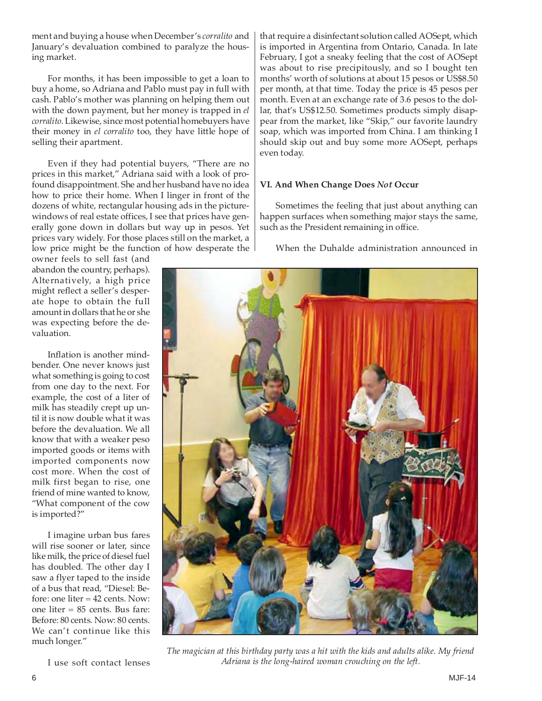ment and buying a house when December's *corralito* and January's devaluation combined to paralyze the housing market.

For months, it has been impossible to get a loan to buy a home, so Adriana and Pablo must pay in full with cash. Pablo's mother was planning on helping them out with the down payment, but her money is trapped in *el corralito*. Likewise, since most potential homebuyers have their money in *el corralito* too, they have little hope of selling their apartment.

Even if they had potential buyers, "There are no prices in this market," Adriana said with a look of profound disappointment. She and her husband have no idea how to price their home. When I linger in front of the dozens of white, rectangular housing ads in the picturewindows of real estate offices, I see that prices have generally gone down in dollars but way up in pesos. Yet prices vary widely. For those places still on the market, a low price might be the function of how desperate the

owner feels to sell fast (and abandon the country, perhaps). Alternatively, a high price might reflect a seller's desperate hope to obtain the full amount in dollars that he or she was expecting before the devaluation.

Inflation is another mindbender. One never knows just what something is going to cost from one day to the next. For example, the cost of a liter of milk has steadily crept up until it is now double what it was before the devaluation. We all know that with a weaker peso imported goods or items with imported components now cost more. When the cost of milk first began to rise, one friend of mine wanted to know, "What component of the cow is imported?"

I imagine urban bus fares will rise sooner or later, since like milk, the price of diesel fuel has doubled. The other day I saw a flyer taped to the inside of a bus that read, "Diesel: Before: one liter = 42 cents. Now: one liter = 85 cents. Bus fare: Before: 80 cents. Now: 80 cents. We can't continue like this much longer."

I use soft contact lenses

that require a disinfectant solution called AOSept, which is imported in Argentina from Ontario, Canada. In late February, I got a sneaky feeling that the cost of AOSept was about to rise precipitously, and so I bought ten months' worth of solutions at about 15 pesos or US\$8.50 per month, at that time. Today the price is 45 pesos per month. Even at an exchange rate of 3.6 pesos to the dollar, that's US\$12.50. Sometimes products simply disappear from the market, like "Skip," our favorite laundry soap, which was imported from China. I am thinking I should skip out and buy some more AOSept, perhaps even today.

# **VI. And When Change Does** *Not* **Occur**

Sometimes the feeling that just about anything can happen surfaces when something major stays the same, such as the President remaining in office.

When the Duhalde administration announced in



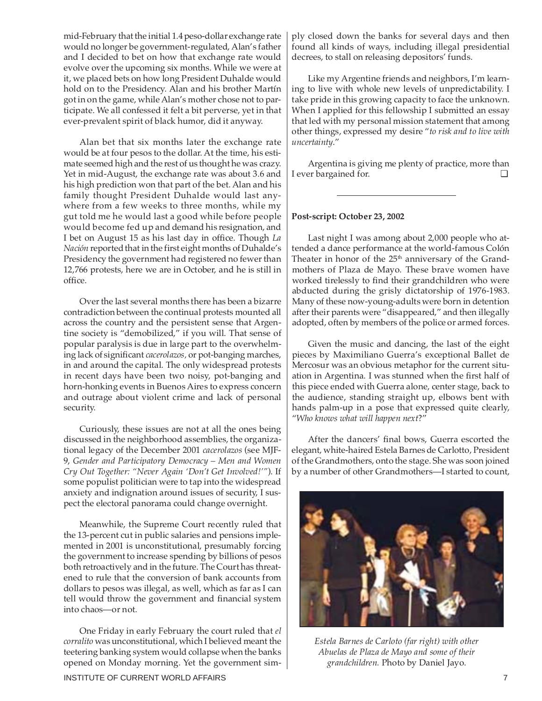mid-February that the initial 1.4 peso-dollar exchange rate would no longer be government-regulated, Alan's father and I decided to bet on how that exchange rate would evolve over the upcoming six months. While we were at it, we placed bets on how long President Duhalde would hold on to the Presidency. Alan and his brother Martín got in on the game, while Alan's mother chose not to participate. We all confessed it felt a bit perverse, yet in that ever-prevalent spirit of black humor, did it anyway.

Alan bet that six months later the exchange rate would be at four pesos to the dollar. At the time, his estimate seemed high and the rest of us thought he was crazy. Yet in mid-August, the exchange rate was about 3.6 and his high prediction won that part of the bet. Alan and his family thought President Duhalde would last anywhere from a few weeks to three months, while my gut told me he would last a good while before people would become fed up and demand his resignation, and I bet on August 15 as his last day in office. Though *La Nación* reported that in the first eight months of Duhalde's Presidency the government had registered no fewer than 12,766 protests, here we are in October, and he is still in office.

Over the last several months there has been a bizarre contradiction between the continual protests mounted all across the country and the persistent sense that Argentine society is "demobilized," if you will. That sense of popular paralysis is due in large part to the overwhelming lack of significant *cacerolazos,* or pot-banging marches, in and around the capital. The only widespread protests in recent days have been two noisy, pot-banging and horn-honking events in Buenos Aires to express concern and outrage about violent crime and lack of personal security.

Curiously, these issues are not at all the ones being discussed in the neighborhood assemblies, the organizational legacy of the December 2001 *cacerolazos* (see MJF-9, *Gender and Participatory Democracy – Men and Women Cry Out Together: "Never Again 'Don't Get Involved!'"*). If some populist politician were to tap into the widespread anxiety and indignation around issues of security, I suspect the electoral panorama could change overnight.

Meanwhile, the Supreme Court recently ruled that the 13-percent cut in public salaries and pensions implemented in 2001 is unconstitutional, presumably forcing the government to increase spending by billions of pesos both retroactively and in the future. The Court has threatened to rule that the conversion of bank accounts from dollars to pesos was illegal, as well, which as far as I can tell would throw the government and financial system into chaos—or not.

One Friday in early February the court ruled that *el corralito* was unconstitutional, which I believed meant the teetering banking system would collapse when the banks opened on Monday morning. Yet the government sim-

ply closed down the banks for several days and then found all kinds of ways, including illegal presidential decrees, to stall on releasing depositors' funds.

Like my Argentine friends and neighbors, I'm learning to live with whole new levels of unpredictability. I take pride in this growing capacity to face the unknown. When I applied for this fellowship I submitted an essay that led with my personal mission statement that among other things, expressed my desire "*to risk and to live with uncertainty*."

Argentina is giving me plenty of practice, more than I ever bargained for.

### **Post-script: October 23, 2002**

Last night I was among about 2,000 people who attended a dance performance at the world-famous Colón Theater in honor of the  $25<sup>th</sup>$  anniversary of the Grandmothers of Plaza de Mayo. These brave women have worked tirelessly to find their grandchildren who were abducted during the grisly dictatorship of 1976-1983. Many of these now-young-adults were born in detention after their parents were "disappeared," and then illegally adopted, often by members of the police or armed forces.

Given the music and dancing, the last of the eight pieces by Maximiliano Guerra's exceptional Ballet de Mercosur was an obvious metaphor for the current situation in Argentina. I was stunned when the first half of this piece ended with Guerra alone, center stage, back to the audience, standing straight up, elbows bent with hands palm-up in a pose that expressed quite clearly, "*Who knows what will happen next*?"

After the dancers' final bows, Guerra escorted the elegant, white-haired Estela Barnes de Carlotto, President of the Grandmothers, onto the stage. She was soon joined by a number of other Grandmothers—I started to count,



*Estela Barnes de Carloto (far right) with other Abuelas de Plaza de Mayo and some of their grandchildren.* Photo by Daniel Jayo.